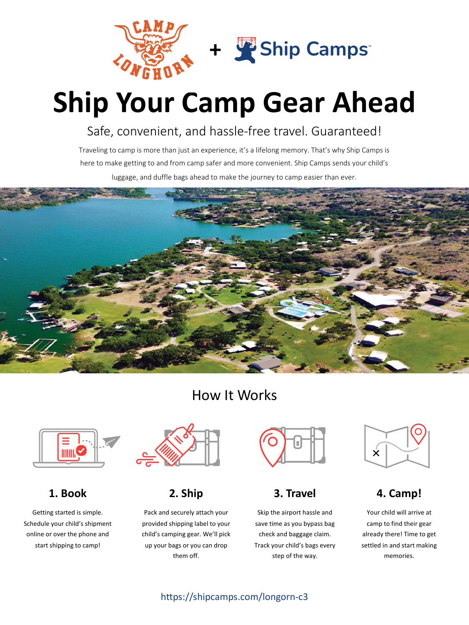

# **Ship Your Camp Gear Ahead**

## Safe, convenient, and hassle-free travel. Guaranteed!

Traveling to camp is more than just an experience, it's a lifelong memory. That's why Ship Camps is here to make getting to and from camp safer and more convenient. Ship Camps sends your child's luggage, and duffle bags ahead to make the journey to camp easier than ever.



## How It Works



**1. Book**

Getting started is simple. Schedule your child's shipment online or over the phone and start shipping to camp!



**2. Ship**

Pack and securely attach your provided shipping label to your child's camping gear. We'll pick up your bags or you can drop them off.



## **3. Travel**

Skip the airport hassle and save time as you bypass bag check and baggage claim. Track your child's bags every step of the way.



### **4. Camp!**

Your child will arrive at camp to find their gear already there! Time to get settled in and start making memories.

### https://shipcamps.com/longorn-c3